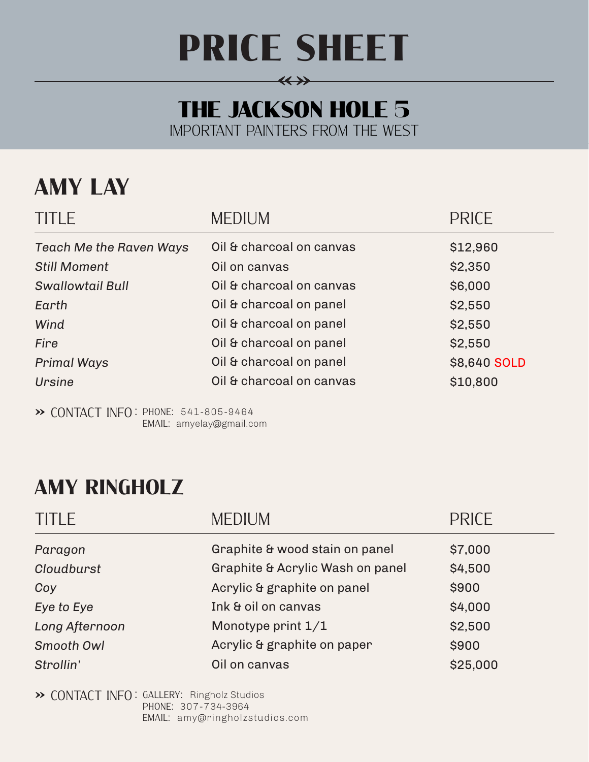# PRICE SHEET

**«»**

#### The Jackson Hole **5** Important Painters from the West

### **Amy lay**

| <b>TITLE</b>                   | <b>MEDIUM</b>            | <b>PRICE</b> |
|--------------------------------|--------------------------|--------------|
| <b>Teach Me the Raven Ways</b> | Oil & charcoal on canvas | \$12,960     |
| <b>Still Moment</b>            | Oil on canvas            | \$2,350      |
| <b>Swallowtail Bull</b>        | Oil & charcoal on canvas | \$6,000      |
| Earth                          | Oil & charcoal on panel  | \$2,550      |
| Wind                           | Oil & charcoal on panel  | \$2,550      |
| <b>Fire</b>                    | Oil & charcoal on panel  | \$2,550      |
| <b>Primal Ways</b>             | Oil & charcoal on panel  | \$8,640 SOLD |
| Ursine                         | Oil & charcoal on canvas | \$10,800     |

**»** Contact Info : Phone: 541-805-9464 Email: amyelay@gmail.com

#### **Amy Ringholz**

| <b>TITLE</b>   | <b>MEDIUM</b>                    | <b>PRICE</b> |  |
|----------------|----------------------------------|--------------|--|
| Paragon        | Graphite & wood stain on panel   | \$7,000      |  |
| Cloudburst     | Graphite & Acrylic Wash on panel | \$4,500      |  |
| Coy            | Acrylic & graphite on panel      | \$900        |  |
| Eye to Eye     | Ink & oil on canvas              | \$4,000      |  |
| Long Afternoon | Monotype print $1/1$             | \$2,500      |  |
| Smooth Owl     | Acrylic & graphite on paper      | \$900        |  |
| Strollin'      | Oil on canvas                    | \$25,000     |  |

**»** Contact Info : GALLERY: Ringholz Studios Phone: 307-734-3964 EMAIL: amy@ringholzstudios.com